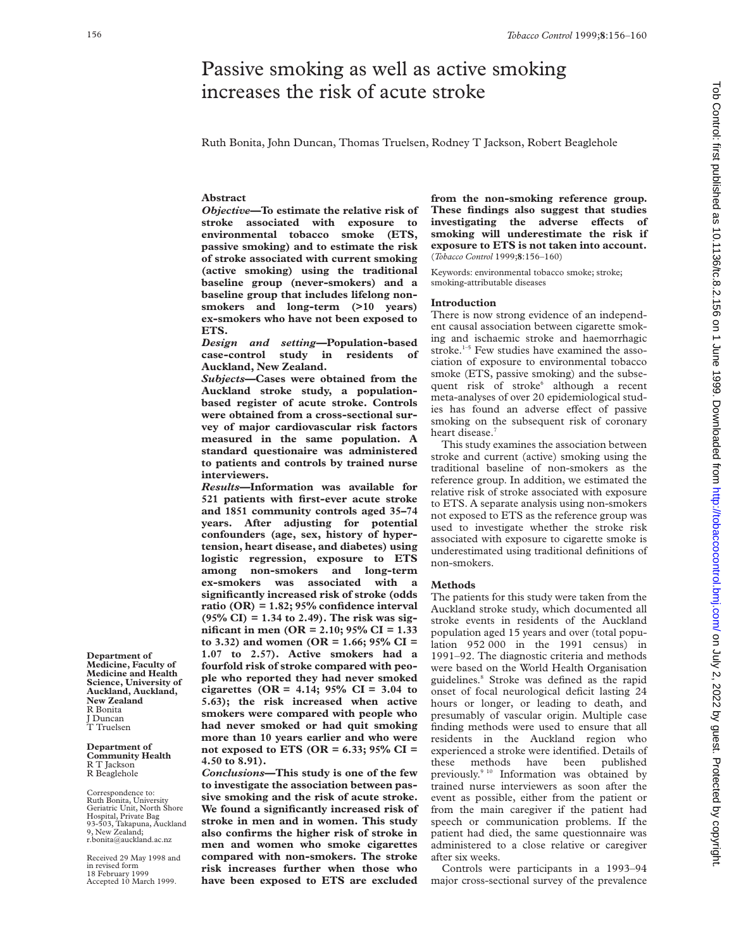# Passive smoking as well as active smoking increases the risk of acute stroke

Ruth Bonita, John Duncan, Thomas Truelsen, Rodney T Jackson, Robert Beaglehole

# **Abstract**

*Objective***—To estimate the relative risk of stroke associated with exposure to environmental tobacco smoke (ETS, passive smoking) and to estimate the risk of stroke associated with current smoking (active smoking) using the traditional baseline group (never-smokers) and a baseline group that includes lifelong nonsmokers and long-term (>10 years) ex-smokers who have not been exposed to ETS.**

*Design and setting—***Population-based** case-control study in residents **Auckland, New Zealand.**

*Subjects***—Cases were obtained from the Auckland stroke study, a populationbased register of acute stroke. Controls were obtained from a cross-sectional survey of major cardiovascular risk factors measured in the same population. A standard questionaire was administered to patients and controls by trained nurse interviewers.**

*Results***—Information was available for 521 patients with first-ever acute stroke and 1851 community controls aged 35–74 years. After adjusting for potential confounders (age, sex, history of hypertension, heart disease, and diabetes) using logistic regression, exposure to ETS among non-smokers and long-term ex-smokers was associated with a significantly increased risk of stroke (odds ratio (OR) = 1.82; 95% confidence interval (95% CI) = 1.34 to 2.49). The risk was significant in men (OR = 2.10; 95% CI = 1.33 to 3.32) and women (OR = 1.66; 95% CI = 1.07 to 2.57). Active smokers had a fourfold risk of stroke compared with people who reported they had never smoked cigarettes (OR = 4.14; 95% CI = 3.04 to 5.63); the risk increased when active smokers were compared with people who had never smoked or had quit smoking more than 10 years earlier and who were not exposed to ETS (OR = 6.33; 95% CI = 4.50 to 8.91).**

*Conclusions***—This study is one of the few to investigate the association between passive smoking and the risk of acute stroke. We found a significantly increased risk of stroke in men and in women. This study also confirms the higher risk of stroke in men and women who smoke cigarettes compared with non-smokers. The stroke risk increases further when those who have been exposed to ETS are excluded**

**from the non-smoking reference group. These findings also suggest that studies** investigating the adverse effects of **smoking will underestimate the risk if exposure to ETS is not taken into account.** (*Tobacco Control* 1999;**8**:156–160)

Keywords: environmental tobacco smoke; stroke; smoking-attributable diseases

## **Introduction**

There is now strong evidence of an independent causal association between cigarette smoking and ischaemic stroke and haemorrhagic stroke.<sup>1-5</sup> Few studies have examined the association of exposure to environmental tobacco smoke (ETS, passive smoking) and the subsequent risk of stroke<sup>6</sup> although a recent meta-analyses of over 20 epidemiological studies has found an adverse effect of passive smoking on the subsequent risk of coronary heart disease.<sup>7</sup>

This study examines the association between stroke and current (active) smoking using the traditional baseline of non-smokers as the reference group. In addition, we estimated the relative risk of stroke associated with exposure to ETS. A separate analysis using non-smokers not exposed to ETS as the reference group was used to investigate whether the stroke risk associated with exposure to cigarette smoke is underestimated using traditional definitions of non-smokers.

# **Methods**

The patients for this study were taken from the Auckland stroke study, which documented all stroke events in residents of the Auckland population aged 15 years and over (total population 952 000 in the 1991 census) in 1991–92. The diagnostic criteria and methods were based on the World Health Organisation guidelines.8 Stroke was defined as the rapid onset of focal neurological deficit lasting 24 hours or longer, or leading to death, and presumably of vascular origin. Multiple case finding methods were used to ensure that all residents in the Auckland region who experienced a stroke were identified. Details of these methods have been published previously.<sup>9 10</sup> Information was obtained by trained nurse interviewers as soon after the event as possible, either from the patient or from the main caregiver if the patient had speech or communication problems. If the patient had died, the same questionnaire was administered to a close relative or caregiver after six weeks.

Controls were participants in a 1993–94 major cross-sectional survey of the prevalence

**Department of Medicine, Faculty of Medicine and Health Science, University of Auckland, Auckland, New Zealand** R Bonita J Duncan T Truelsen

#### **Department of Community Health** R T Jackson R Beaglehole

Correspondence to: Ruth Bonita, University Geriatric Unit, North Shore Hospital, Private Bag 93-503, Takapuna, Auckland 9, New Zealand; r.bonita@auckland.ac.nz

Received 29 May 1998 and in revised form 18 February 1999 Accepted 10 March 1999.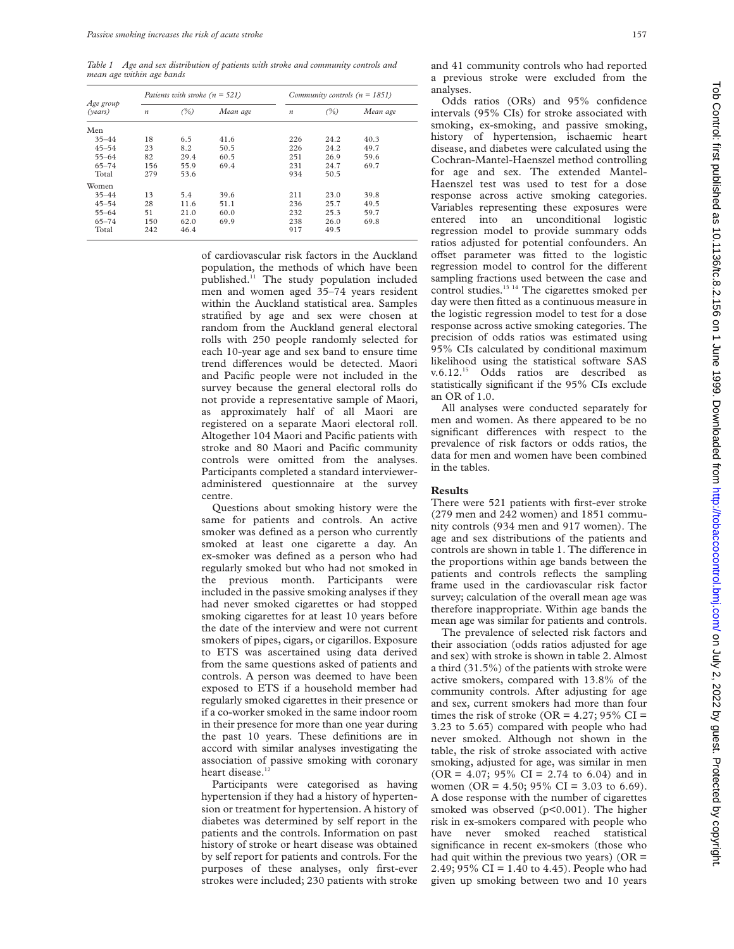*Table 1 Age and sex distribution of patients with stroke and community controls and mean age within age bands*

| Age group<br>(years) | Patients with stroke $(n = 521)$ |      |          | Community controls ( $n = 1851$ ) |      |          |  |
|----------------------|----------------------------------|------|----------|-----------------------------------|------|----------|--|
|                      | $\boldsymbol{n}$                 | (%)  | Mean age | $\boldsymbol{n}$                  | (%)  | Mean age |  |
| Men                  |                                  |      |          |                                   |      |          |  |
| $35 - 44$            | 18                               | 6.5  | 41.6     | 226                               | 24.2 | 40.3     |  |
| $45 - 54$            | 23                               | 8.2  | 50.5     | 226                               | 24.2 | 49.7     |  |
| $55 - 64$            | 82                               | 29.4 | 60.5     | 251                               | 26.9 | 59.6     |  |
| $65 - 74$            | 156                              | 55.9 | 69.4     | 231                               | 24.7 | 69.7     |  |
| Total                | 279                              | 53.6 |          | 934                               | 50.5 |          |  |
| Women                |                                  |      |          |                                   |      |          |  |
| $35 - 44$            | 13                               | 5.4  | 39.6     | 211                               | 23.0 | 39.8     |  |
| $45 - 54$            | 28                               | 11.6 | 51.1     | 236                               | 25.7 | 49.5     |  |
| $55 - 64$            | 51                               | 21.0 | 60.0     | 232                               | 25.3 | 59.7     |  |
| $65 - 74$            | 150                              | 62.0 | 69.9     | 238                               | 26.0 | 69.8     |  |
| Total                | 242                              | 46.4 |          | 917                               | 49.5 |          |  |

of cardiovascular risk factors in the Auckland population, the methods of which have been published.<sup>11</sup> The study population included men and women aged 35–74 years resident within the Auckland statistical area. Samples stratified by age and sex were chosen at random from the Auckland general electoral rolls with 250 people randomly selected for each 10-year age and sex band to ensure time trend differences would be detected. Maori and Pacific people were not included in the survey because the general electoral rolls do not provide a representative sample of Maori, as approximately half of all Maori are registered on a separate Maori electoral roll. Altogether 104 Maori and Pacific patients with stroke and 80 Maori and Pacific community controls were omitted from the analyses. Participants completed a standard intervieweradministered questionnaire at the survey centre.

Questions about smoking history were the same for patients and controls. An active smoker was defined as a person who currently smoked at least one cigarette a day. An ex-smoker was defined as a person who had regularly smoked but who had not smoked in the previous month. Participants were included in the passive smoking analyses if they had never smoked cigarettes or had stopped smoking cigarettes for at least 10 years before the date of the interview and were not current smokers of pipes, cigars, or cigarillos. Exposure to ETS was ascertained using data derived from the same questions asked of patients and controls. A person was deemed to have been exposed to ETS if a household member had regularly smoked cigarettes in their presence or if a co-worker smoked in the same indoor room in their presence for more than one year during the past 10 years. These definitions are in accord with similar analyses investigating the association of passive smoking with coronary heart disease.<sup>12</sup>

Participants were categorised as having hypertension if they had a history of hypertension or treatment for hypertension. A history of diabetes was determined by self report in the patients and the controls. Information on past history of stroke or heart disease was obtained by self report for patients and controls. For the purposes of these analyses, only first-ever strokes were included; 230 patients with stroke

and 41 community controls who had reported a previous stroke were excluded from the analyses.

Odds ratios (ORs) and 95% confidence intervals (95% CIs) for stroke associated with smoking, ex-smoking, and passive smoking, history of hypertension, ischaemic heart disease, and diabetes were calculated using the Cochran-Mantel-Haenszel method controlling for age and sex. The extended Mantel-Haenszel test was used to test for a dose response across active smoking categories. Variables representing these exposures were entered into an unconditional logistic regression model to provide summary odds ratios adjusted for potential confounders. An offset parameter was fitted to the logistic regression model to control for the different sampling fractions used between the case and control studies.<sup>13 14</sup> The cigarettes smoked per day were then fitted as a continuous measure in the logistic regression model to test for a dose response across active smoking categories. The precision of odds ratios was estimated using 95% CIs calculated by conditional maximum likelihood using the statistical software SAS v.6.12.15 Odds ratios are described as statistically significant if the 95% CIs exclude an OR of 1.0.

All analyses were conducted separately for men and women. As there appeared to be no significant differences with respect to the prevalence of risk factors or odds ratios, the data for men and women have been combined in the tables.

### **Results**

There were 521 patients with first-ever stroke (279 men and 242 women) and 1851 community controls (934 men and 917 women). The age and sex distributions of the patients and controls are shown in table 1. The difference in the proportions within age bands between the patients and controls reflects the sampling frame used in the cardiovascular risk factor survey; calculation of the overall mean age was therefore inappropriate. Within age bands the mean age was similar for patients and controls.

The prevalence of selected risk factors and their association (odds ratios adjusted for age and sex) with stroke is shown in table 2. Almost a third (31.5%) of the patients with stroke were active smokers, compared with 13.8% of the community controls. After adjusting for age and sex, current smokers had more than four times the risk of stroke (OR =  $4.27$ ; 95% CI = 3.23 to 5.65) compared with people who had never smoked. Although not shown in the table, the risk of stroke associated with active smoking, adjusted for age, was similar in men  $(OR = 4.07; 95\% \text{ CI} = 2.74 \text{ to } 6.04)$  and in women (OR = 4.50; 95% CI = 3.03 to 6.69). A dose response with the number of cigarettes smoked was observed (p<0.001). The higher risk in ex-smokers compared with people who have never smoked reached statistical significance in recent ex-smokers (those who had quit within the previous two years) ( $OR =$ 2.49; 95% CI = 1.40 to 4.45). People who had given up smoking between two and 10 years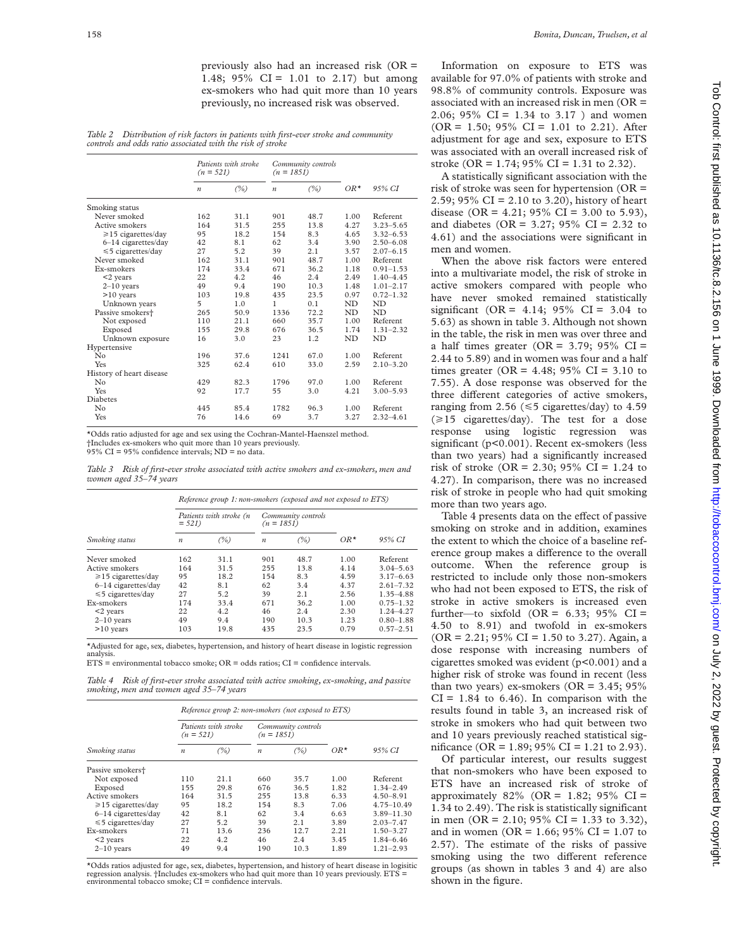previously also had an increased risk (OR = 1.48; 95% CI = 1.01 to 2.17) but among ex-smokers who had quit more than 10 years previously, no increased risk was observed.

*Table 2 Distribution of risk factors in patients with first-ever stroke and community controls and odds ratio associated with the risk of stroke*

|                              | Patients with stroke<br>$(n = 521)$ |      | Community controls<br>$(n = 1851)$ |      |        |               |
|------------------------------|-------------------------------------|------|------------------------------------|------|--------|---------------|
|                              | $\boldsymbol{n}$                    | (%)  | $\boldsymbol{n}$                   | (%)  | $OR^*$ | 95% CI        |
| Smoking status               |                                     |      |                                    |      |        |               |
| Never smoked                 | 162                                 | 31.1 | 901                                | 48.7 | 1.00   | Referent      |
| Active smokers               | 164                                 | 31.5 | 255                                | 13.8 | 4.27   | $3.23 - 5.65$ |
| ≥15 cigarettes/day           | 95                                  | 18.2 | 154                                | 8.3  | 4.65   | $3.32 - 6.53$ |
| 6-14 cigarettes/day          | 42                                  | 8.1  | 62                                 | 3.4  | 3.90   | $2.50 - 6.08$ |
| $\leq 5$ cigarettes/day      | 27                                  | 5.2  | 39                                 | 2.1  | 3.57   | $2.07 - 6.15$ |
| Never smoked                 | 162                                 | 31.1 | 901                                | 48.7 | 1.00   | Referent      |
| Ex-smokers                   | 174                                 | 33.4 | 671                                | 36.2 | 1.18   | $0.91 - 1.53$ |
| $<$ 2 years                  | 22                                  | 4.2  | 46                                 | 2.4  | 2.49   | $1.40 - 4.45$ |
| $2-10$ years                 | 49                                  | 9.4  | 190                                | 10.3 | 1.48   | $1.01 - 2.17$ |
| $>10$ years                  | 103                                 | 19.8 | 435                                | 23.5 | 0.97   | $0.72 - 1.32$ |
| Unknown years                | 5                                   | 1.0  | 1                                  | 0.1  | ND     | ND            |
| Passive smokers <sup>+</sup> | 265                                 | 50.9 | 1336                               | 72.2 | ND     | ND            |
| Not exposed                  | 110                                 | 21.1 | 660                                | 35.7 | 1.00   | Referent      |
| Exposed                      | 155                                 | 29.8 | 676                                | 36.5 | 1.74   | $1.31 - 2.32$ |
| Unknown exposure             | 16                                  | 3.0  | 23                                 | 1.2  | ND     | ND            |
| Hypertensive                 |                                     |      |                                    |      |        |               |
| No                           | 196                                 | 37.6 | 1241                               | 67.0 | 1.00   | Referent      |
| Yes                          | 325                                 | 62.4 | 610                                | 33.0 | 2.59   | $2.10 - 3.20$ |
| History of heart disease     |                                     |      |                                    |      |        |               |
| No                           | 429                                 | 82.3 | 1796                               | 97.0 | 1.00   | Referent      |
| Yes                          | 92                                  | 17.7 | 55                                 | 3.0  | 4.21   | $3.00 - 5.93$ |
| Diabetes                     |                                     |      |                                    |      |        |               |
| No                           | 445                                 | 85.4 | 1782                               | 96.3 | 1.00   | Referent      |
| Yes                          | 76                                  | 14.6 | 69                                 | 3.7  | 3.27   | $2.32 - 4.61$ |

\*Odds ratio adjusted for age and sex using the Cochran-Mantel-Haenszel method. †Includes ex-smokers who quit more than 10 years previously. 95% CI =  $95\%$  confidence intervals; ND = no data.

*Table 3 Risk of first-ever stroke associated with active smokers and ex-smokers, men and women aged 35–74 years*

|                          | Reference group 1: non-smokers (exposed and not exposed to ETS) |      |                                    |      |       |               |  |
|--------------------------|-----------------------------------------------------------------|------|------------------------------------|------|-------|---------------|--|
|                          | Patients with stroke (n<br>$= 521$                              |      | Community controls<br>$(n = 1851)$ |      |       |               |  |
| Smoking status           | $\boldsymbol{n}$                                                | (%)  | $\boldsymbol{n}$                   | (%)  | $OR*$ | 95% CI        |  |
| Never smoked             | 162                                                             | 31.1 | 901                                | 48.7 | 1.00  | Referent      |  |
| Active smokers           | 164                                                             | 31.5 | 255                                | 13.8 | 4.14  | $3.04 - 5.63$ |  |
| $\geq 15$ cigarettes/day | 95                                                              | 18.2 | 154                                | 8.3  | 4.59  | $3.17 - 6.63$ |  |
| $6-14$ cigarettes/day    | 42                                                              | 8.1  | 62                                 | 3.4  | 4.37  | $2.61 - 7.32$ |  |
| $\leq 5$ cigarettes/day  | 27                                                              | 5.2  | 39                                 | 2.1  | 2.56  | 1.35-4.88     |  |
| Ex-smokers               | 174                                                             | 33.4 | 671                                | 36.2 | 1.00  | $0.75 - 1.32$ |  |
| $<$ 2 years              | 22                                                              | 4.2  | 46                                 | 2.4  | 2.30  | 1.24-4.27     |  |
| $2-10$ years             | 49                                                              | 9.4  | 190                                | 10.3 | 1.23  | $0.80 - 1.88$ |  |
| $>10$ years              | 103                                                             | 19.8 | 435                                | 23.5 | 0.79  | $0.57 - 2.51$ |  |

\*Adjusted for age, sex, diabetes, hypertension, and history of heart disease in logistic regression analysis.

 $ETS =$  environmental tobacco smoke;  $OR =$  odds ratios;  $CI =$  confidence intervals.

*Table 4 Risk of first-ever stroke associated with active smoking, ex-smoking, and passive smoking, men and women aged 35–74 years*

|                              | Reference group 2: non-smokers (not exposed to ETS) |      |                                    |      |        |                |  |  |
|------------------------------|-----------------------------------------------------|------|------------------------------------|------|--------|----------------|--|--|
|                              | Patients with stroke<br>$(n = 521)$                 |      | Community controls<br>$(n = 1851)$ |      |        |                |  |  |
| Smoking status               | $\boldsymbol{n}$                                    | (%)  | $\boldsymbol{n}$                   | (%)  | $OR^*$ | 95% CI         |  |  |
| Passive smokers <sup>+</sup> |                                                     |      |                                    |      |        |                |  |  |
| Not exposed                  | 110                                                 | 21.1 | 660                                | 35.7 | 1.00   | Referent       |  |  |
| Exposed                      | 155                                                 | 29.8 | 676                                | 36.5 | 1.82   | $1.34 - 2.49$  |  |  |
| Active smokers               | 164                                                 | 31.5 | 255                                | 13.8 | 6.33   | $4.50 - 8.91$  |  |  |
| $\geq 15$ cigarettes/day     | 95                                                  | 18.2 | 154                                | 8.3  | 7.06   | $4.75 - 10.49$ |  |  |
| $6-14$ cigarettes/day        | 42                                                  | 8.1  | 62                                 | 3.4  | 6.63   | $3.89 - 11.30$ |  |  |
| $\leq 5$ cigarettes/day      | 27                                                  | 5.2  | 39                                 | 2.1  | 3.89   | $2.03 - 7.47$  |  |  |
| Ex-smokers                   | 71                                                  | 13.6 | 236                                | 12.7 | 2.21   | $1.50 - 3.27$  |  |  |
| $<$ 2 years                  | 22                                                  | 4.2  | 46                                 | 2.4  | 3.45   | $1.84 - 6.46$  |  |  |
| $2-10$ vears                 | 49                                                  | 9.4  | 190                                | 10.3 | 1.89   | $1.21 - 2.93$  |  |  |

\*Odds ratios adjusted for age, sex, diabetes, hypertension, and history of heart disease in logisitic regression analysis.  $\dagger$ Includes ex-smokers who had quit more than 10 years previously. ETS environmental tobacco smoke; CI = confidence intervals.

Information on exposure to ETS was available for 97.0% of patients with stroke and 98.8% of community controls. Exposure was associated with an increased risk in men (OR = 2.06; 95% CI =  $1.34$  to 3.17 ) and women  $(OR = 1.50; 95\% \text{ CI} = 1.01 \text{ to } 2.21).$  After adjustment for age and sex, exposure to ETS was associated with an overall increased risk of stroke (OR = 1.74; 95% CI = 1.31 to 2.32).

A statistically significant association with the risk of stroke was seen for hypertension ( $OR =$ 2.59; 95% CI = 2.10 to 3.20), history of heart disease (OR = 4.21; 95% CI = 3.00 to 5.93), and diabetes (OR =  $3.27$ ; 95% CI =  $2.32$  to 4.61) and the associations were significant in men and women.

When the above risk factors were entered into a multivariate model, the risk of stroke in active smokers compared with people who have never smoked remained statistically significant (OR =  $4.14$ ; 95% CI =  $3.04$  to 5.63) as shown in table 3. Although not shown in the table, the risk in men was over three and a half times greater ( $OR = 3.79$ ;  $95\%$  CI = 2.44 to 5.89) and in women was four and a half times greater (OR =  $4.48$ ; 95% CI =  $3.10$  to 7.55). A dose response was observed for the three different categories of active smokers, ranging from 2.56 ( $\leq$ 5 cigarettes/day) to 4.59  $(\geq 15$  cigarettes/day). The test for a dose response using logistic regression was significant (p<0.001). Recent ex-smokers (less than two years) had a significantly increased risk of stroke (OR = 2.30; 95% CI = 1.24 to 4.27). In comparison, there was no increased risk of stroke in people who had quit smoking more than two years ago.

Table 4 presents data on the effect of passive smoking on stroke and in addition, examines the extent to which the choice of a baseline reference group makes a difference to the overall outcome. When the reference group is restricted to include only those non-smokers who had not been exposed to ETS, the risk of stroke in active smokers is increased even further—to sixfold (OR =  $6.33$ ;  $95\%$  CI = 4.50 to 8.91) and twofold in ex-smokers  $(OR = 2.21; 95\% CI = 1.50 \text{ to } 3.27)$ . Again, a dose response with increasing numbers of cigarettes smoked was evident (p<0.001) and a higher risk of stroke was found in recent (less than two years) ex-smokers ( $OR = 3.45$ ; 95%  $CI = 1.84$  to 6.46). In comparison with the results found in table 3, an increased risk of stroke in smokers who had quit between two and 10 years previously reached statistical significance (OR = 1.89;  $95\%$  CI = 1.21 to 2.93).

Of particular interest, our results suggest that non-smokers who have been exposed to ETS have an increased risk of stroke of approximately  $82\%$  (OR = 1.82;  $95\%$  CI = 1.34 to 2.49). The risk is statistically significant in men (OR = 2.10;  $95\%$  CI = 1.33 to 3.32), and in women (OR =  $1.66$ ; 95% CI =  $1.07$  to 2.57). The estimate of the risks of passive smoking using the two different reference groups (as shown in tables 3 and 4) are also shown in the figure.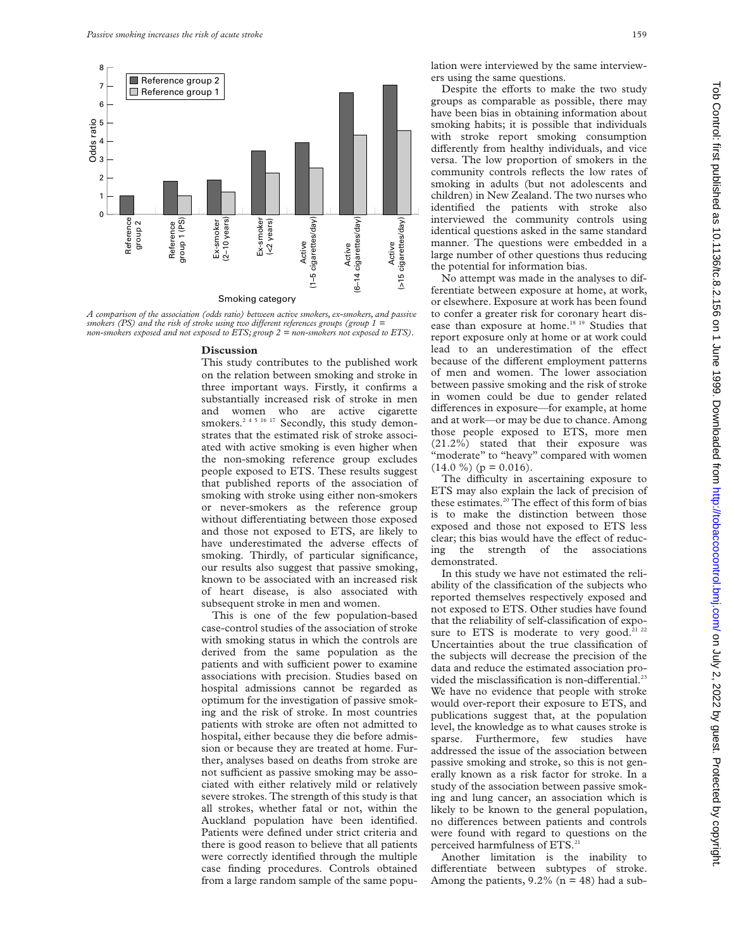

*A comparison of the association (odds ratio) between active smokers, ex-smokers, and passive smokers (PS) and the risk of stroke using two different references groups (group 1 = non-smokers exposed and not exposed to ETS; group 2 = non-smokers not exposed to ETS).*

### **Discussion**

This study contributes to the published work on the relation between smoking and stroke in three important ways. Firstly, it confirms a substantially increased risk of stroke in men and women who are active cigarette smokers.<sup>2 4 5 16 17</sup> Secondly, this study demonstrates that the estimated risk of stroke associated with active smoking is even higher when the non-smoking reference group excludes people exposed to ETS. These results suggest that published reports of the association of smoking with stroke using either non-smokers or never-smokers as the reference group without differentiating between those exposed and those not exposed to ETS, are likely to have underestimated the adverse effects of smoking. Thirdly, of particular significance, our results also suggest that passive smoking, known to be associated with an increased risk of heart disease, is also associated with subsequent stroke in men and women.

This is one of the few population-based case-control studies of the association of stroke with smoking status in which the controls are derived from the same population as the patients and with sufficient power to examine associations with precision. Studies based on hospital admissions cannot be regarded as optimum for the investigation of passive smoking and the risk of stroke. In most countries patients with stroke are often not admitted to hospital, either because they die before admission or because they are treated at home. Further, analyses based on deaths from stroke are not sufficient as passive smoking may be associated with either relatively mild or relatively severe strokes. The strength of this study is that all strokes, whether fatal or not, within the Auckland population have been identified. Patients were defined under strict criteria and there is good reason to believe that all patients were correctly identified through the multiple case finding procedures. Controls obtained from a large random sample of the same popu-

lation were interviewed by the same interviewers using the same questions.

Despite the efforts to make the two study groups as comparable as possible, there may have been bias in obtaining information about smoking habits; it is possible that individuals with stroke report smoking consumption differently from healthy individuals, and vice versa. The low proportion of smokers in the community controls reflects the low rates of smoking in adults (but not adolescents and children) in New Zealand. The two nurses who identified the patients with stroke also interviewed the community controls using identical questions asked in the same standard manner. The questions were embedded in a large number of other questions thus reducing the potential for information bias.

No attempt was made in the analyses to differentiate between exposure at home, at work, or elsewhere. Exposure at work has been found to confer a greater risk for coronary heart disease than exposure at home.18 19 Studies that report exposure only at home or at work could lead to an underestimation of the effect because of the different employment patterns of men and women. The lower association between passive smoking and the risk of stroke in women could be due to gender related differences in exposure—for example, at home and at work—or may be due to chance. Among those people exposed to ETS, more men (21.2%) stated that their exposure was 'moderate" to "heavy" compared with women  $(14.0 \%) (p = 0.016).$ 

The difficulty in ascertaining exposure to ETS may also explain the lack of precision of these estimates. $20$  The effect of this form of bias is to make the distinction between those exposed and those not exposed to ETS less clear; this bias would have the effect of reducing the strength of the associations demonstrated.

In this study we have not estimated the reliability of the classification of the subjects who reported themselves respectively exposed and not exposed to ETS. Other studies have found that the reliability of self-classification of exposure to ETS is moderate to very good. $21$  22 Uncertainties about the true classification of the subjects will decrease the precision of the data and reduce the estimated association provided the misclassification is non-differential.<sup>23</sup> We have no evidence that people with stroke would over-report their exposure to ETS, and publications suggest that, at the population level, the knowledge as to what causes stroke is sparse. Furthermore, few studies have addressed the issue of the association between passive smoking and stroke, so this is not generally known as a risk factor for stroke. In a study of the association between passive smoking and lung cancer, an association which is likely to be known to the general population, no differences between patients and controls were found with regard to questions on the perceived harmfulness of ETS.<sup>21</sup>

Another limitation is the inability to differentiate between subtypes of stroke. Among the patients,  $9.2\%$  (n = 48) had a sub-